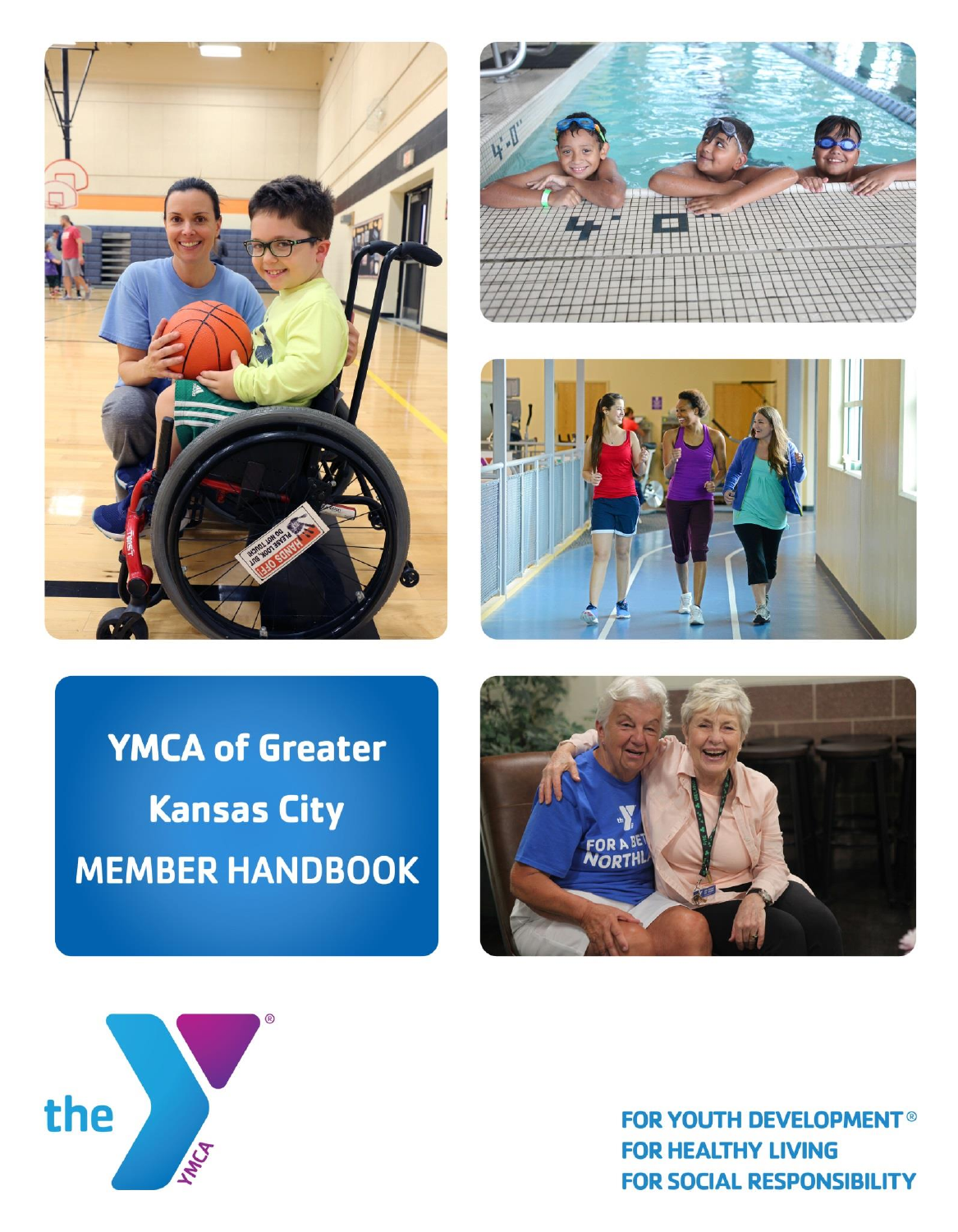





# **YMCA of Greater Kansas City MEMBER HANDBOOK**





**FOR YOUTH DEVELOPMENT® FOR HEALTHY LIVING FOR SOCIAL RESPONSIBILITY**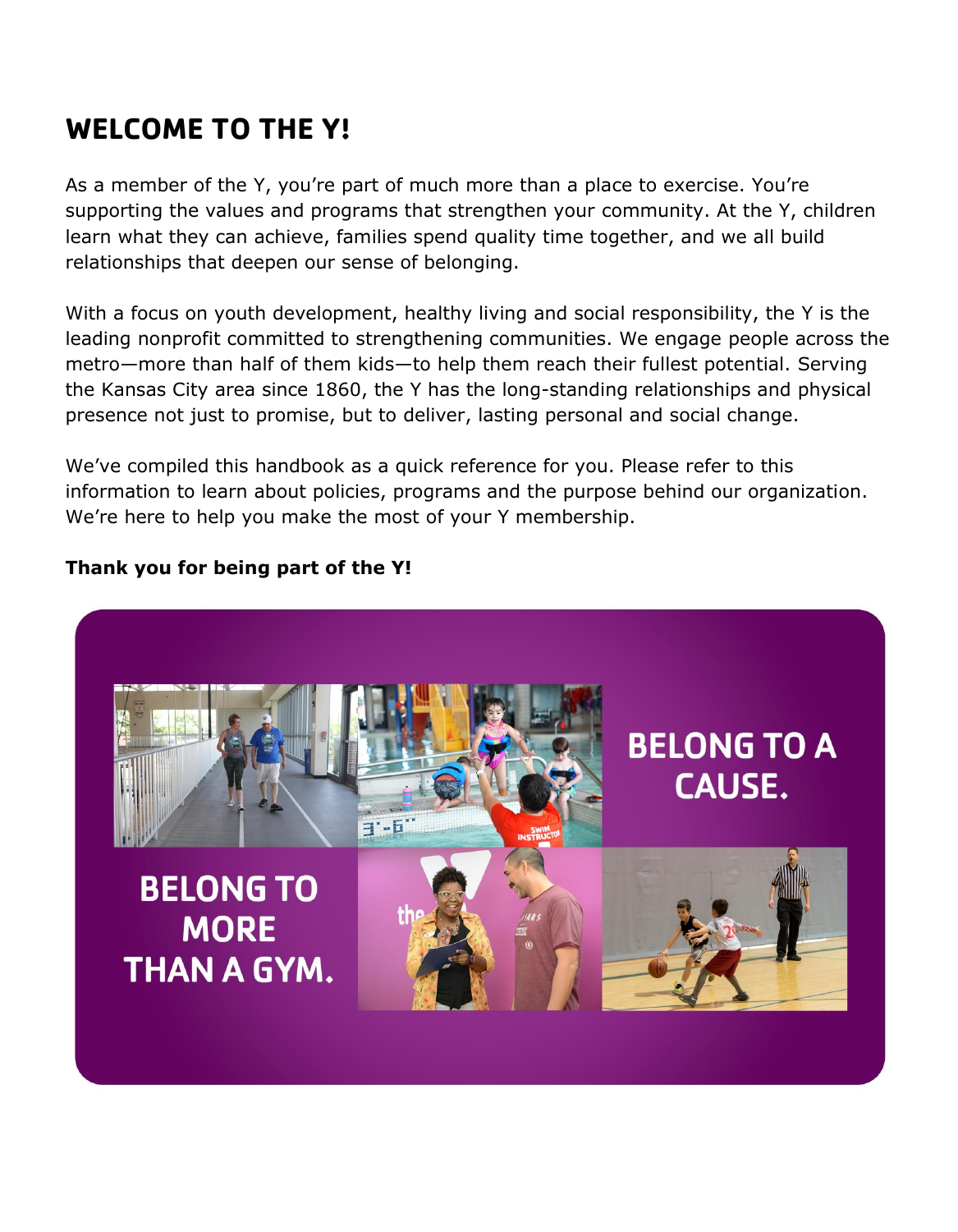# **WELCOME TO THE Y!**

As a member of the Y, you're part of much more than a place to exercise. You're supporting the values and programs that strengthen your community. At the Y, children learn what they can achieve, families spend quality time together, and we all build relationships that deepen our sense of belonging.

With a focus on youth development, healthy living and social responsibility, the Y is the leading nonprofit committed to strengthening communities. We engage people across the metro—more than half of them kids—to help them reach their fullest potential. Serving the Kansas City area since 1860, the Y has the long-standing relationships and physical presence not just to promise, but to deliver, lasting personal and social change.

We've compiled this handbook as a quick reference for you. Please refer to this information to learn about policies, programs and the purpose behind our organization. We're here to help you make the most of your Y membership.

### **Thank you for being part of the Y!**

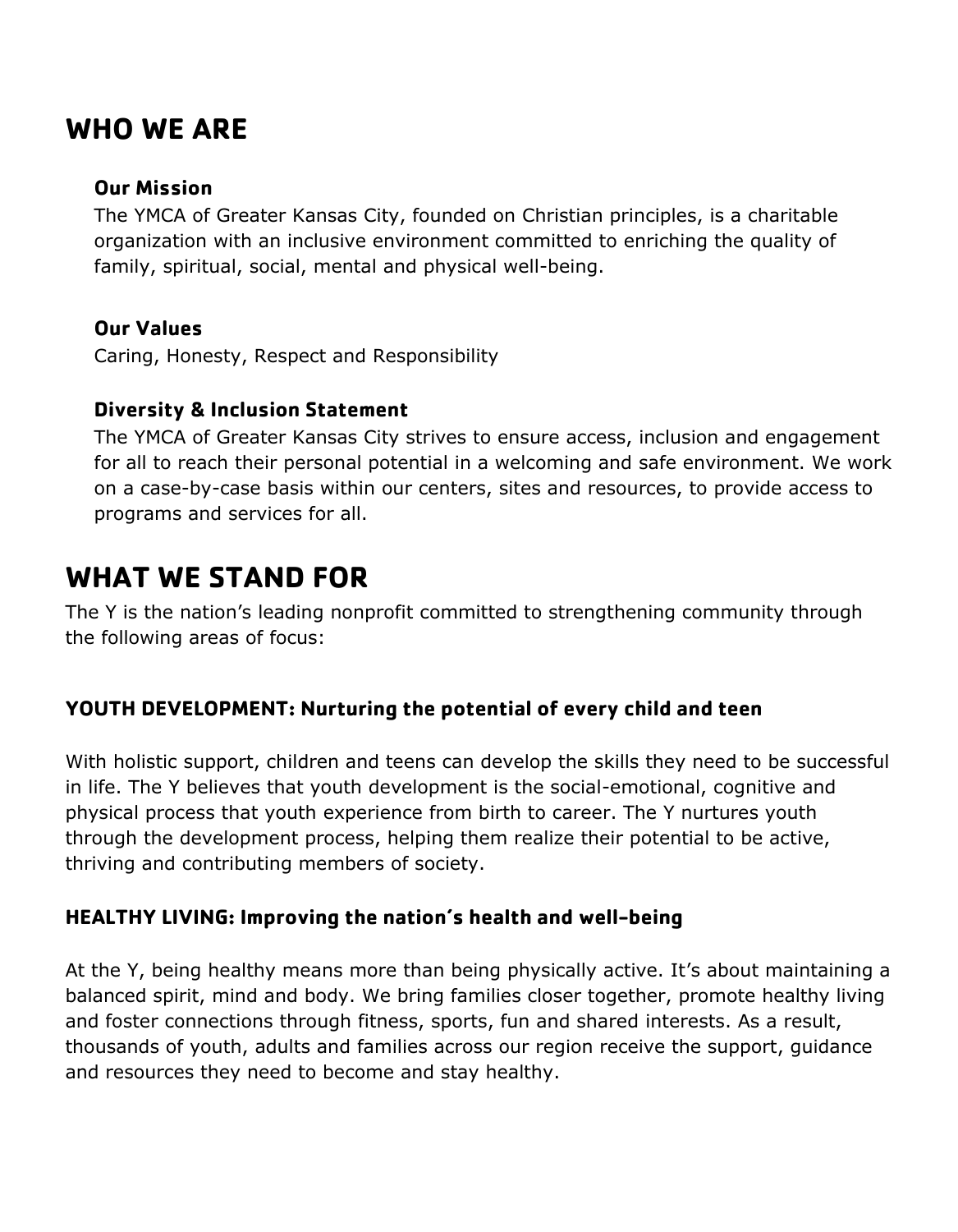# **WHO WE ARE**

### **Our Mission**

The YMCA of Greater Kansas City, founded on Christian principles, is a charitable organization with an inclusive environment committed to enriching the quality of family, spiritual, social, mental and physical well-being.

### **Our Values**

Caring, Honesty, Respect and Responsibility

### **Diversity & Inclusion Statement**

The YMCA of Greater Kansas City strives to ensure access, inclusion and engagement for all to reach their personal potential in a welcoming and safe environment. We work on a case-by-case basis within our centers, sites and resources, to provide access to programs and services for all.

## **WHAT WE STAND FOR**

The Y is the nation's leading nonprofit committed to strengthening community through the following areas of focus:

### **YOUTH DEVELOPMENT: Nurturing the potential of every child and teen**

With holistic support, children and teens can develop the skills they need to be successful in life. The Y believes that youth development is the social-emotional, cognitive and physical process that youth experience from birth to career. The Y nurtures youth through the development process, helping them realize their potential to be active, thriving and contributing members of society.

### **HEALTHY LIVING: Improving the nation's health and well-being**

At the Y, being healthy means more than being physically active. It's about maintaining a balanced spirit, mind and body. We bring families closer together, promote healthy living and foster connections through fitness, sports, fun and shared interests. As a result, thousands of youth, adults and families across our region receive the support, guidance and resources they need to become and stay healthy.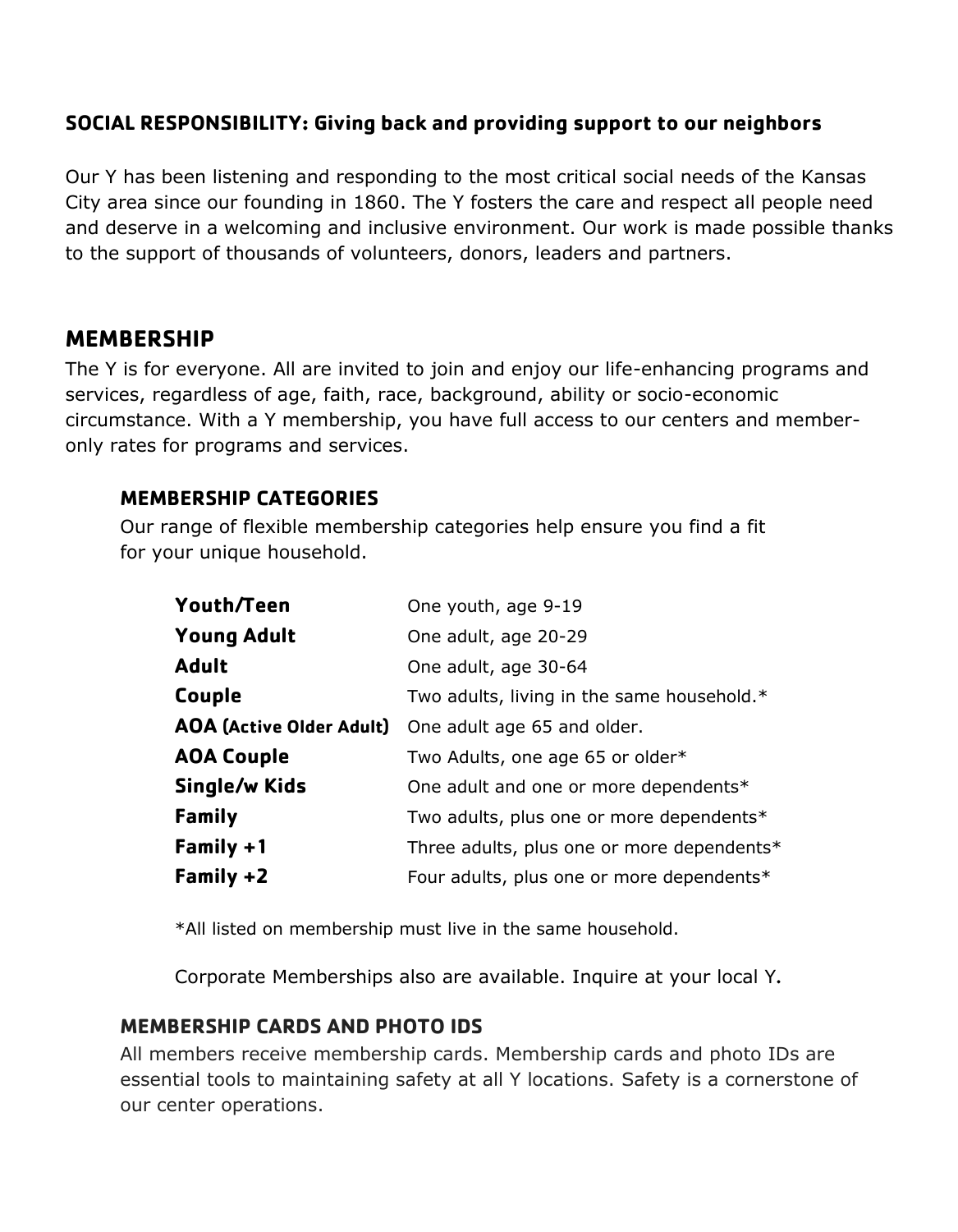### **SOCIAL RESPONSIBILITY: Giving back and providing support to our neighbors**

Our Y has been listening and responding to the most critical social needs of the Kansas City area since our founding in 1860. The Y fosters the care and respect all people need and deserve in a welcoming and inclusive environment. Our work is made possible thanks to the support of thousands of volunteers, donors, leaders and partners.

### **MEMBERSHIP**

The Y is for everyone. All are invited to join and enjoy our life-enhancing programs and services, regardless of age, faith, race, background, ability or socio-economic circumstance. With a Y membership, you have full access to our centers and memberonly rates for programs and services.

### **MEMBERSHIP CATEGORIES**

Our range of flexible membership categories help ensure you find a fit for your unique household.

| Youth/Teen                      | One youth, age 9-19                        |
|---------------------------------|--------------------------------------------|
| <b>Young Adult</b>              | One adult, age 20-29                       |
| <b>Adult</b>                    | One adult, age 30-64                       |
| Couple                          | Two adults, living in the same household.* |
| <b>AOA (Active Older Adult)</b> | One adult age 65 and older.                |
| <b>AOA Couple</b>               | Two Adults, one age 65 or older*           |
| Single/w Kids                   | One adult and one or more dependents*      |
| Family                          | Two adults, plus one or more dependents*   |
| Family +1                       | Three adults, plus one or more dependents* |
| Family $+2$                     | Four adults, plus one or more dependents*  |

\*All listed on membership must live in the same household.

Corporate Memberships also are available. Inquire at your local Y**.** 

### **MEMBERSHIP CARDS AND PHOTO IDS**

All members receive membership cards. Membership cards and photo IDs are essential tools to maintaining safety at all Y locations. Safety is a cornerstone of our center operations.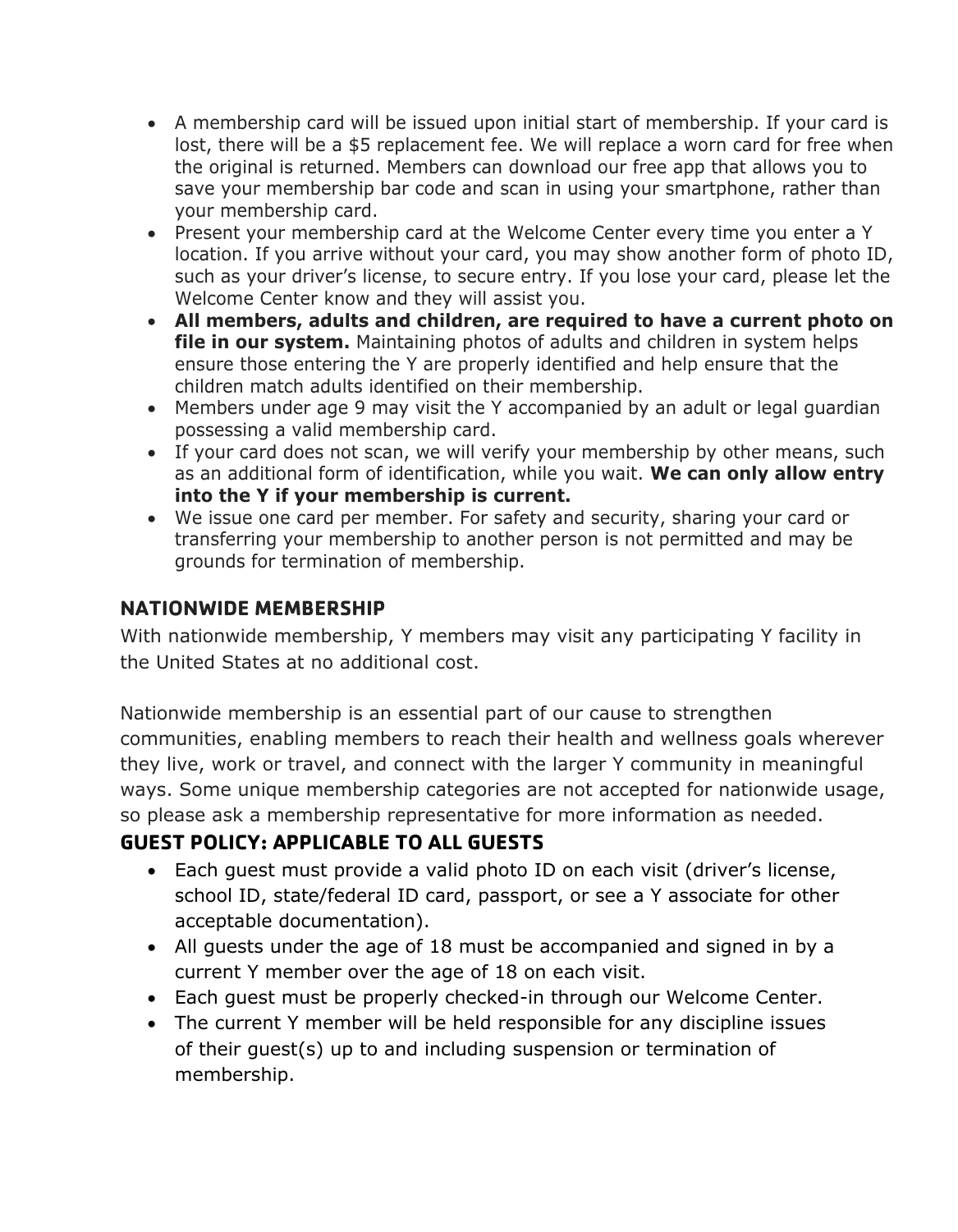- A membership card will be issued upon initial start of membership. If your card is lost, there will be a \$5 replacement fee. We will replace a worn card for free when the original is returned. Members can download our free app that allows you to save your membership bar code and scan in using your smartphone, rather than your membership card.
- Present your membership card at the Welcome Center every time you enter a Y location. If you arrive without your card, you may show another form of photo ID, such as your driver's license, to secure entry. If you lose your card, please let the Welcome Center know and they will assist you.
- **All members, adults and children, are required to have a current photo on file in our system.** Maintaining photos of adults and children in system helps ensure those entering the Y are properly identified and help ensure that the children match adults identified on their membership.
- Members under age 9 may visit the Y accompanied by an adult or legal guardian possessing a valid membership card.
- If your card does not scan, we will verify your membership by other means, such as an additional form of identification, while you wait. **We can only allow entry into the Y if your membership is current.**
- We issue one card per member. For safety and security, sharing your card or transferring your membership to another person is not permitted and may be grounds for termination of membership.

### **NATIONWIDE MEMBERSHIP**

With nationwide membership, Y members may visit any participating Y facility in the United States at no additional cost.

Nationwide membership is an essential part of our cause to strengthen communities, enabling members to reach their health and wellness goals wherever they live, work or travel, and connect with the larger Y community in meaningful ways. Some unique membership categories are not accepted for nationwide usage, so please ask a membership representative for more information as needed.

### **GUEST POLICY: APPLICABLE TO ALL GUESTS**

- Each guest must provide a valid photo ID on each visit (driver's license, school ID, state/federal ID card, passport, or see a Y associate for other acceptable documentation).
- All guests under the age of 18 must be accompanied and signed in by a current Y member over the age of 18 on each visit.
- Each guest must be properly checked-in through our Welcome Center.
- The current Y member will be held responsible for any discipline issues of their guest(s) up to and including suspension or termination of membership.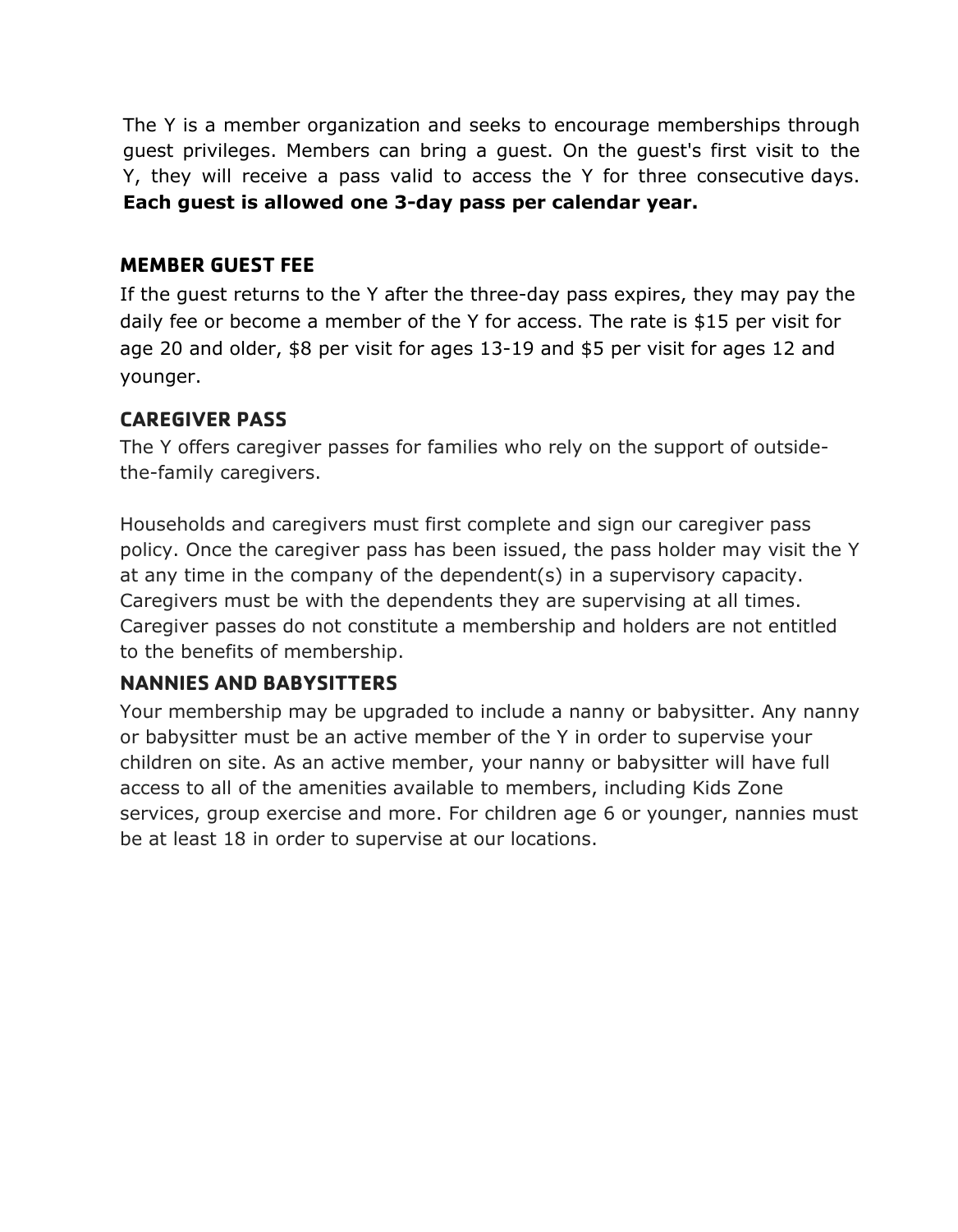The Y is a member organization and seeks to encourage memberships through guest privileges. Members can bring a guest. On the guest's first visit to the Y, they will receive a pass valid to access the Y for three consecutive days. **Each guest is allowed one 3-day pass per calendar year.**

### **MEMBER GUEST FEE**

If the guest returns to the Y after the three-day pass expires, they may pay the daily fee or become a member of the Y for access. The rate is \$15 per visit for age 20 and older, \$8 per visit for ages 13-19 and \$5 per visit for ages 12 and younger.

### **CAREGIVER PASS**

The Y offers caregiver passes for families who rely on the support of outsidethe-family caregivers.

Households and caregivers must first complete and sign our caregiver pass policy. Once the caregiver pass has been issued, the pass holder may visit the Y at any time in the company of the dependent(s) in a supervisory capacity. Caregivers must be with the dependents they are supervising at all times. Caregiver passes do not constitute a membership and holders are not entitled to the benefits of membership.

### **NANNIES AND BABYSITTERS**

Your membership may be upgraded to include a nanny or babysitter. Any nanny or babysitter must be an active member of the Y in order to supervise your children on site. As an active member, your nanny or babysitter will have full access to all of the amenities available to members, including Kids Zone services, group exercise and more. For children age 6 or younger, nannies must be at least 18 in order to supervise at our locations.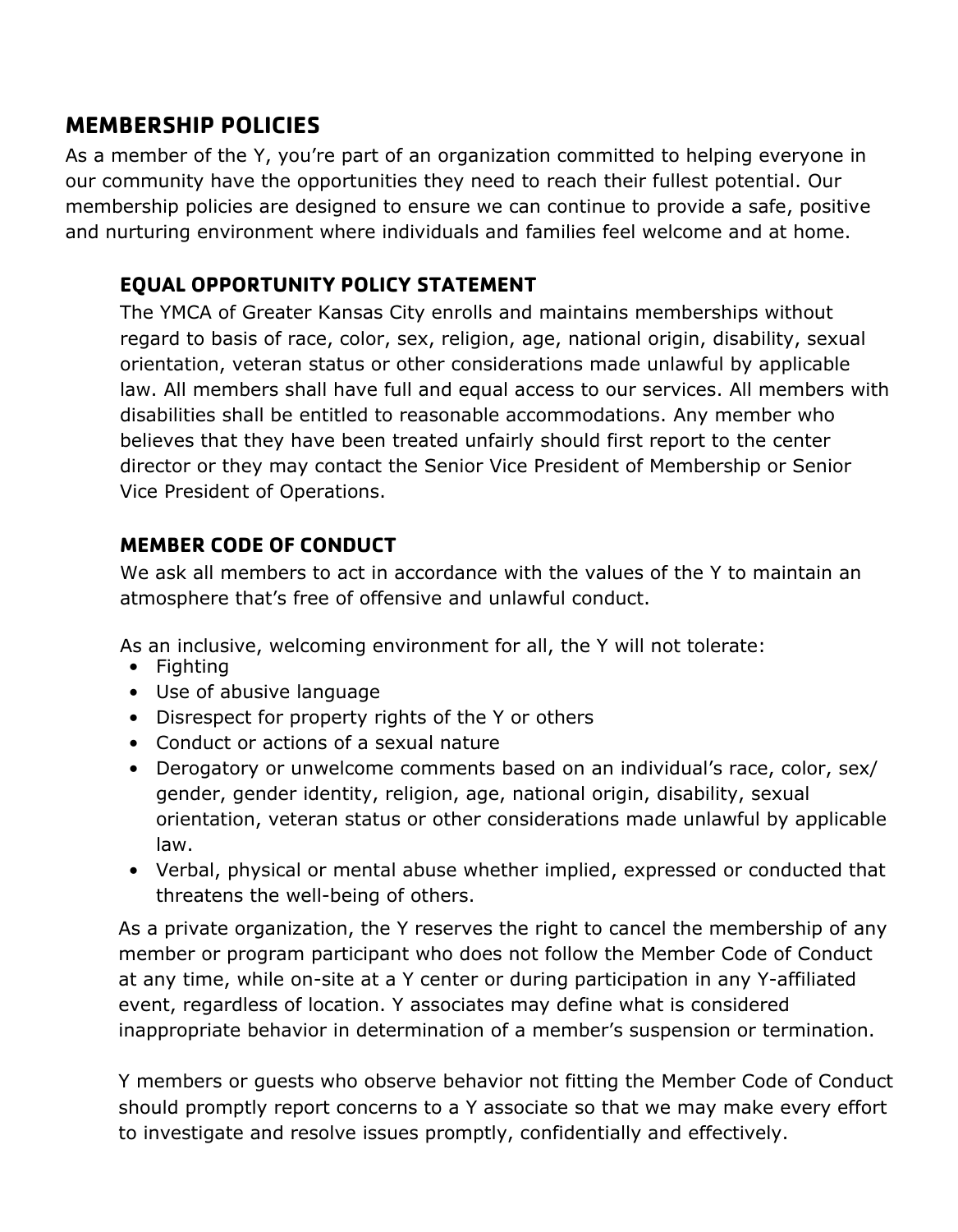### **MEMBERSHIP POLICIES**

As a member of the Y, you're part of an organization committed to helping everyone in our community have the opportunities they need to reach their fullest potential. Our membership policies are designed to ensure we can continue to provide a safe, positive and nurturing environment where individuals and families feel welcome and at home.

### **EQUAL OPPORTUNITY POLICY STATEMENT**

The YMCA of Greater Kansas City enrolls and maintains memberships without regard to basis of race, color, sex, religion, age, national origin, disability, sexual orientation, veteran status or other considerations made unlawful by applicable law. All members shall have full and equal access to our services. All members with disabilities shall be entitled to reasonable accommodations. Any member who believes that they have been treated unfairly should first report to the center director or they may contact the Senior Vice President of Membership or Senior Vice President of Operations.

### **MEMBER CODE OF CONDUCT**

We ask all members to act in accordance with the values of the Y to maintain an atmosphere that's free of offensive and unlawful conduct.

As an inclusive, welcoming environment for all, the Y will not tolerate:

- Fighting
- Use of abusive language
- Disrespect for property rights of the Y or others
- Conduct or actions of a sexual nature
- Derogatory or unwelcome comments based on an individual's race, color, sex/ gender, gender identity, religion, age, national origin, disability, sexual orientation, veteran status or other considerations made unlawful by applicable law.
- Verbal, physical or mental abuse whether implied, expressed or conducted that threatens the well-being of others.

As a private organization, the Y reserves the right to cancel the membership of any member or program participant who does not follow the Member Code of Conduct at any time, while on-site at a Y center or during participation in any Y-affiliated event, regardless of location. Y associates may define what is considered inappropriate behavior in determination of a member's suspension or termination.

Y members or guests who observe behavior not fitting the Member Code of Conduct should promptly report concerns to a Y associate so that we may make every effort to investigate and resolve issues promptly, confidentially and effectively.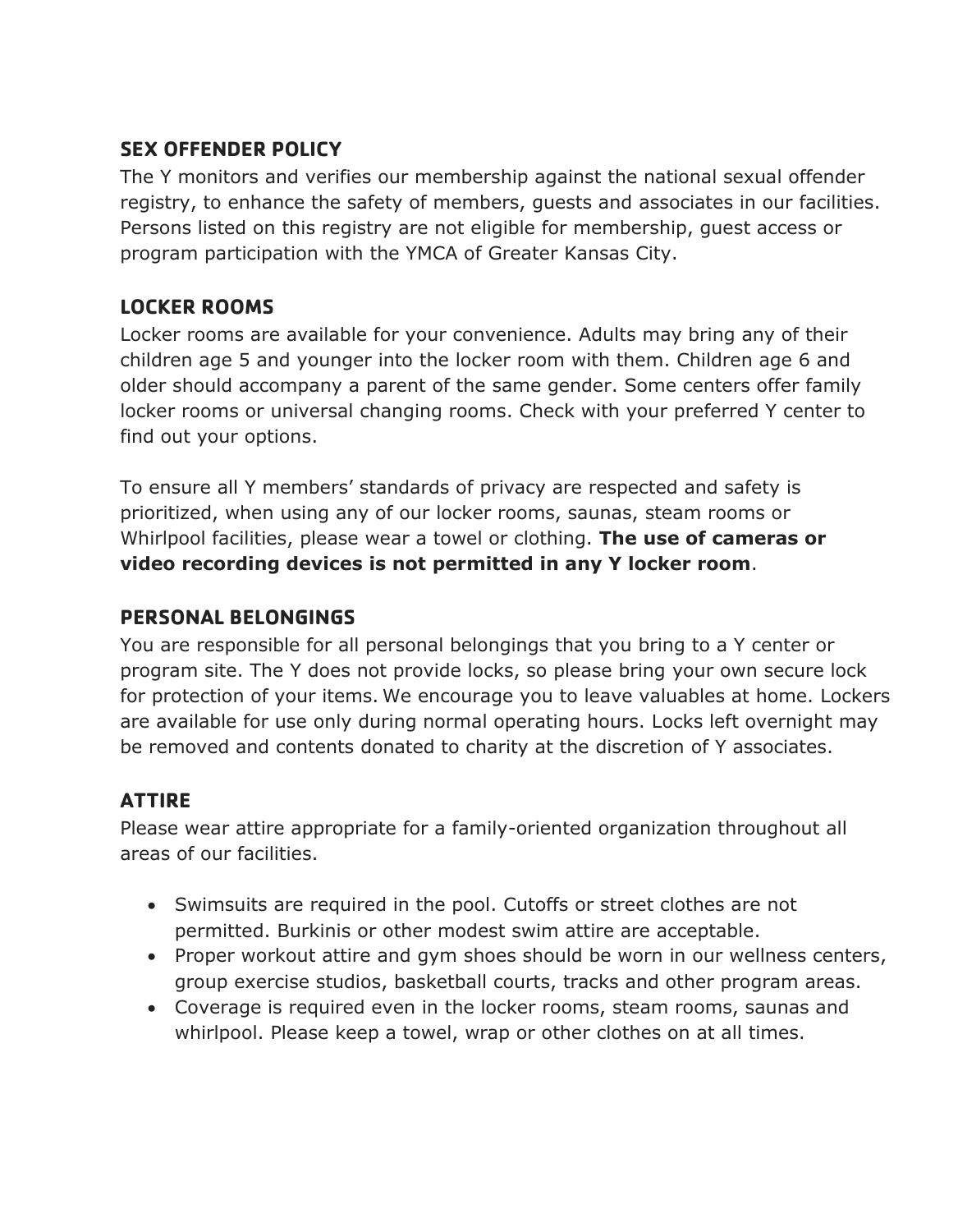### **SEX OFFENDER POLICY**

The Y monitors and verifies our membership against the national sexual offender registry, to enhance the safety of members, guests and associates in our facilities. Persons listed on this registry are not eligible for membership, guest access or program participation with the YMCA of Greater Kansas City.

### **LOCKER ROOMS**

Locker rooms are available for your convenience. Adults may bring any of their children age 5 and younger into the locker room with them. Children age 6 and older should accompany a parent of the same gender. Some centers offer family locker rooms or universal changing rooms. Check with your preferred Y center to find out your options.

To ensure all Y members' standards of privacy are respected and safety is prioritized, when using any of our locker rooms, saunas, steam rooms or Whirlpool facilities, please wear a towel or clothing. **The use of cameras or video recording devices is not permitted in any Y locker room**.

### **PERSONAL BELONGINGS**

You are responsible for all personal belongings that you bring to a Y center or program site. The Y does not provide locks, so please bring your own secure lock for protection of your items. We encourage you to leave valuables at home. Lockers are available for use only during normal operating hours. Locks left overnight may be removed and contents donated to charity at the discretion of Y associates.

### **ATTIRE**

Please wear attire appropriate for a family-oriented organization throughout all areas of our facilities.

- Swimsuits are required in the pool. Cutoffs or street clothes are not permitted. Burkinis or other modest swim attire are acceptable.
- Proper workout attire and gym shoes should be worn in our wellness centers, group exercise studios, basketball courts, tracks and other program areas.
- Coverage is required even in the locker rooms, steam rooms, saunas and whirlpool. Please keep a towel, wrap or other clothes on at all times.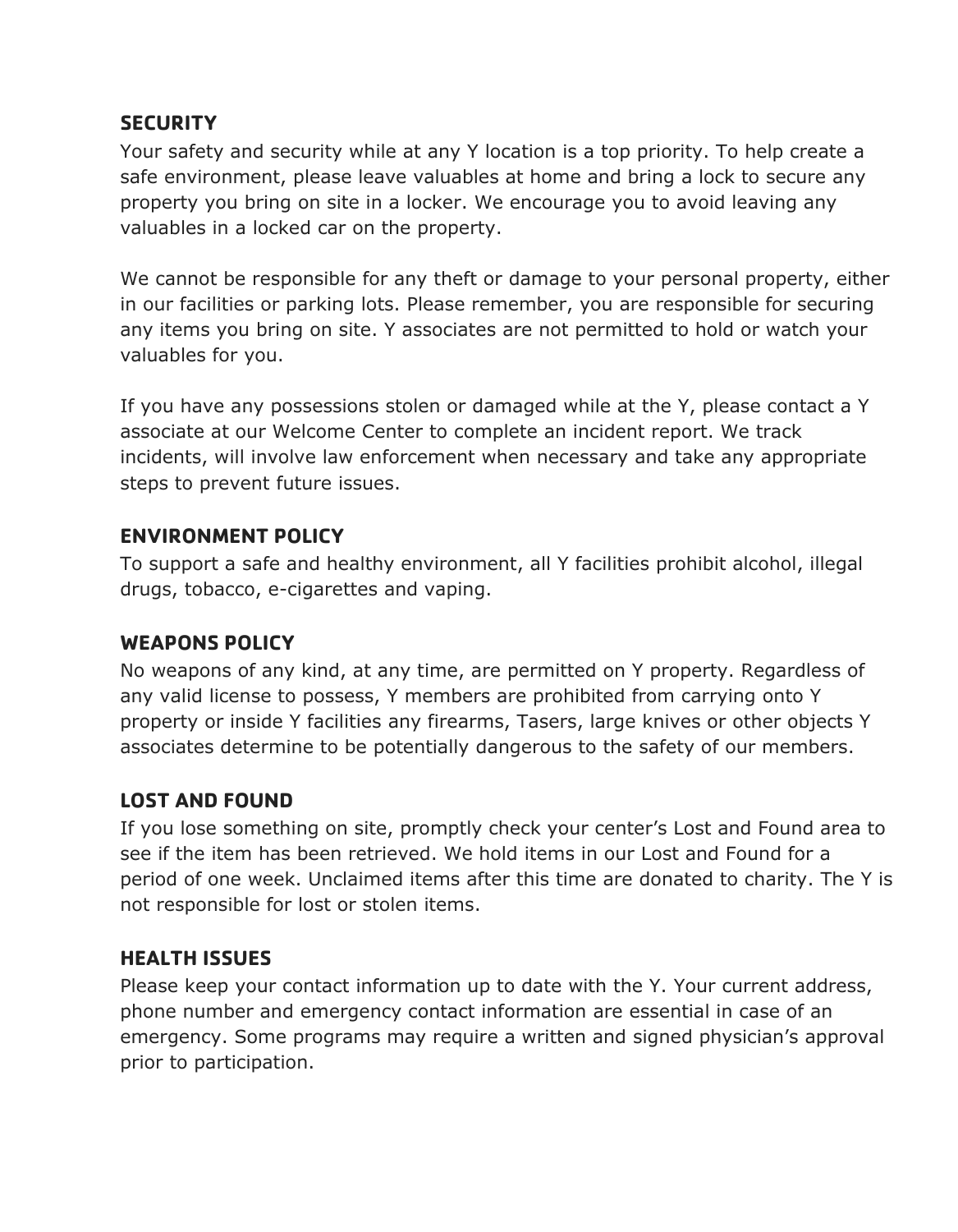### **SECURITY**

Your safety and security while at any Y location is a top priority. To help create a safe environment, please leave valuables at home and bring a lock to secure any property you bring on site in a locker. We encourage you to avoid leaving any valuables in a locked car on the property.

We cannot be responsible for any theft or damage to your personal property, either in our facilities or parking lots. Please remember, you are responsible for securing any items you bring on site. Y associates are not permitted to hold or watch your valuables for you.

If you have any possessions stolen or damaged while at the Y, please contact a Y associate at our Welcome Center to complete an incident report. We track incidents, will involve law enforcement when necessary and take any appropriate steps to prevent future issues.

### **ENVIRONMENT POLICY**

To support a safe and healthy environment, all Y facilities prohibit alcohol, illegal drugs, tobacco, e-cigarettes and vaping.

### **WEAPONS POLICY**

No weapons of any kind, at any time, are permitted on Y property. Regardless of any valid license to possess, Y members are prohibited from carrying onto Y property or inside Y facilities any firearms, Tasers, large knives or other objects Y associates determine to be potentially dangerous to the safety of our members.

### **LOST AND FOUND**

If you lose something on site, promptly check your center's Lost and Found area to see if the item has been retrieved. We hold items in our Lost and Found for a period of one week. Unclaimed items after this time are donated to charity. The Y is not responsible for lost or stolen items.

### **HEALTH ISSUES**

Please keep your contact information up to date with the Y. Your current address, phone number and emergency contact information are essential in case of an emergency. Some programs may require a written and signed physician's approval prior to participation.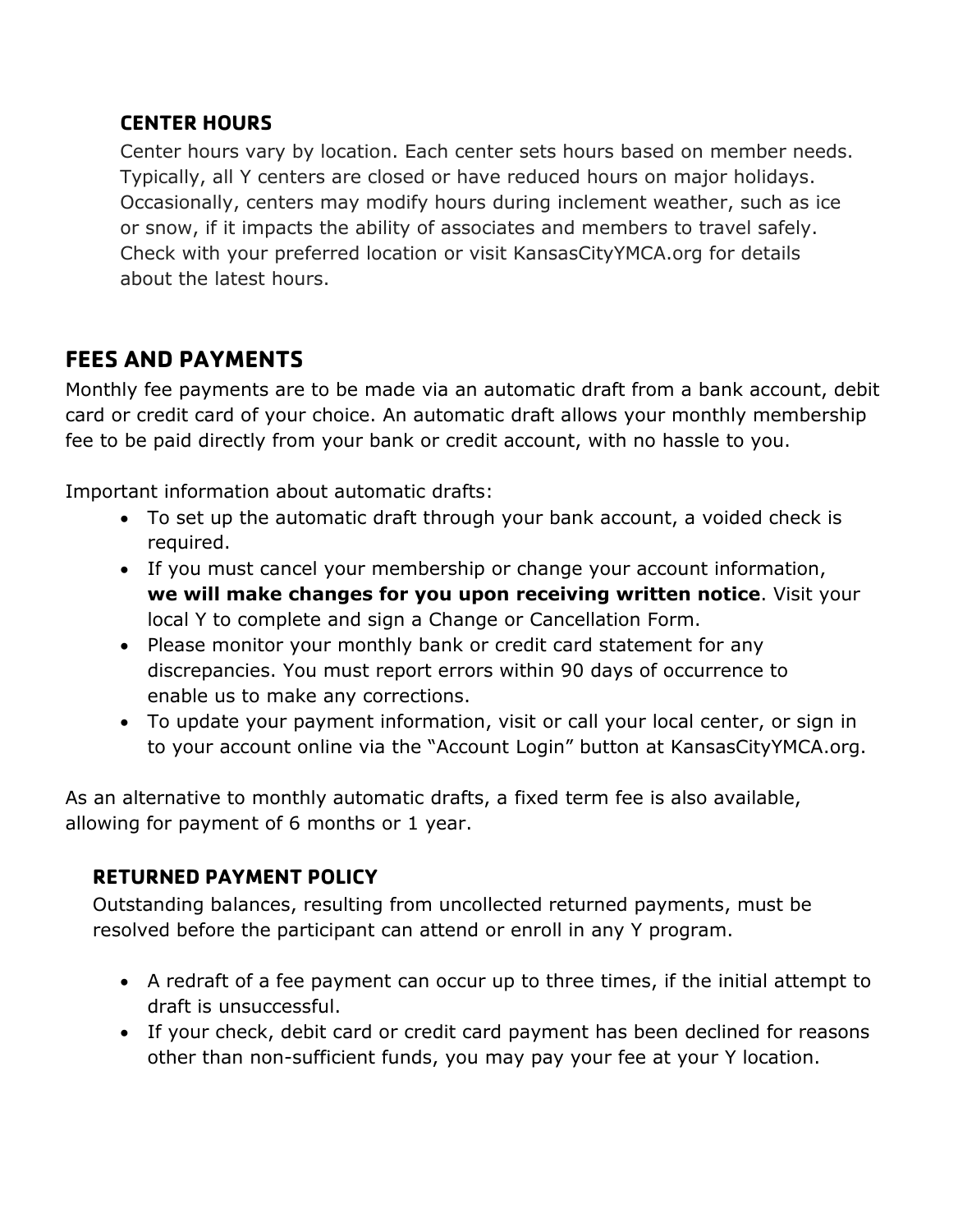### **CENTER HOURS**

Center hours vary by location. Each center sets hours based on member needs. Typically, all Y centers are closed or have reduced hours on major holidays. Occasionally, centers may modify hours during inclement weather, such as ice or snow, if it impacts the ability of associates and members to travel safely. Check with your preferred location or visit KansasCityYMCA.org for details about the latest hours.

### **FEES AND PAYMENTS**

Monthly fee payments are to be made via an automatic draft from a bank account, debit card or credit card of your choice. An automatic draft allows your monthly membership fee to be paid directly from your bank or credit account, with no hassle to you.

Important information about automatic drafts:

- To set up the automatic draft through your bank account, a voided check is required.
- If you must cancel your membership or change your account information, **we will make changes for you upon receiving written notice**. Visit your local Y to complete and sign a Change or Cancellation Form.
- Please monitor your monthly bank or credit card statement for any discrepancies. You must report errors within 90 days of occurrence to enable us to make any corrections.
- To update your payment information, visit or call your local center, or sign in to your account online via the "Account Login" button at KansasCityYMCA.org.

As an alternative to monthly automatic drafts, a fixed term fee is also available, allowing for payment of 6 months or 1 year.

### **RETURNED PAYMENT POLICY**

Outstanding balances, resulting from uncollected returned payments, must be resolved before the participant can attend or enroll in any Y program.

- A redraft of a fee payment can occur up to three times, if the initial attempt to draft is unsuccessful.
- If your check, debit card or credit card payment has been declined for reasons other than non-sufficient funds, you may pay your fee at your Y location.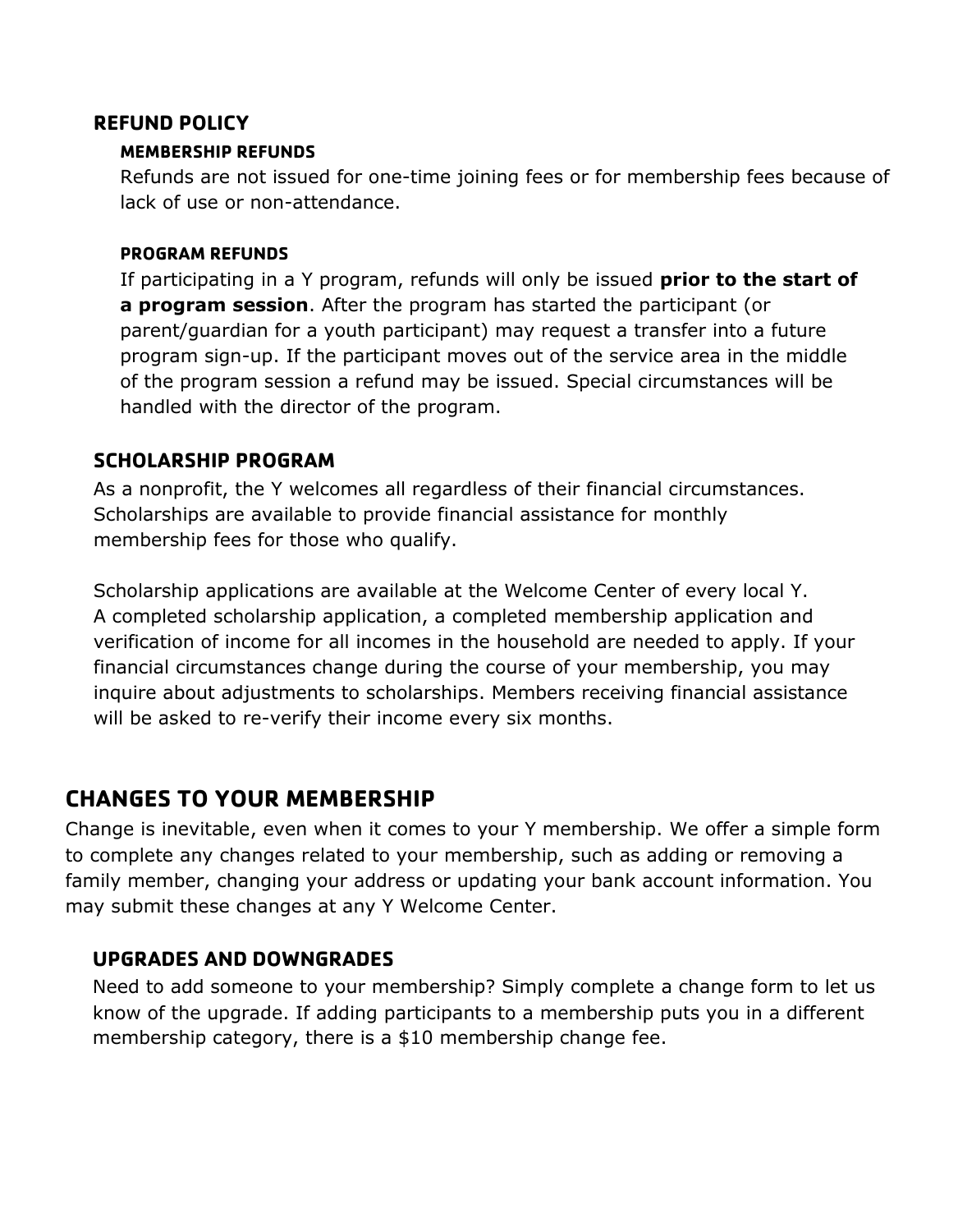#### **REFUND POLICY**

#### **MEMBERSHIP REFUNDS**

Refunds are not issued for one-time joining fees or for membership fees because of lack of use or non-attendance.

#### **PROGRAM REFUNDS**

If participating in a Y program, refunds will only be issued **prior to the start of a program session**. After the program has started the participant (or parent/guardian for a youth participant) may request a transfer into a future program sign-up. If the participant moves out of the service area in the middle of the program session a refund may be issued. Special circumstances will be handled with the director of the program.

#### **SCHOLARSHIP PROGRAM**

As a nonprofit, the Y welcomes all regardless of their financial circumstances. Scholarships are available to provide financial assistance for monthly membership fees for those who qualify.

Scholarship applications are available at the Welcome Center of every local Y. A completed scholarship application, a completed membership application and verification of income for all incomes in the household are needed to apply. If your financial circumstances change during the course of your membership, you may inquire about adjustments to scholarships. Members receiving financial assistance will be asked to re-verify their income every six months.

### **CHANGES TO YOUR MEMBERSHIP**

Change is inevitable, even when it comes to your Y membership. We offer a simple form to complete any changes related to your membership, such as adding or removing a family member, changing your address or updating your bank account information. You may submit these changes at any Y Welcome Center.

#### **UPGRADES AND DOWNGRADES**

Need to add someone to your membership? Simply complete a change form to let us know of the upgrade. If adding participants to a membership puts you in a different membership category, there is a \$10 membership change fee.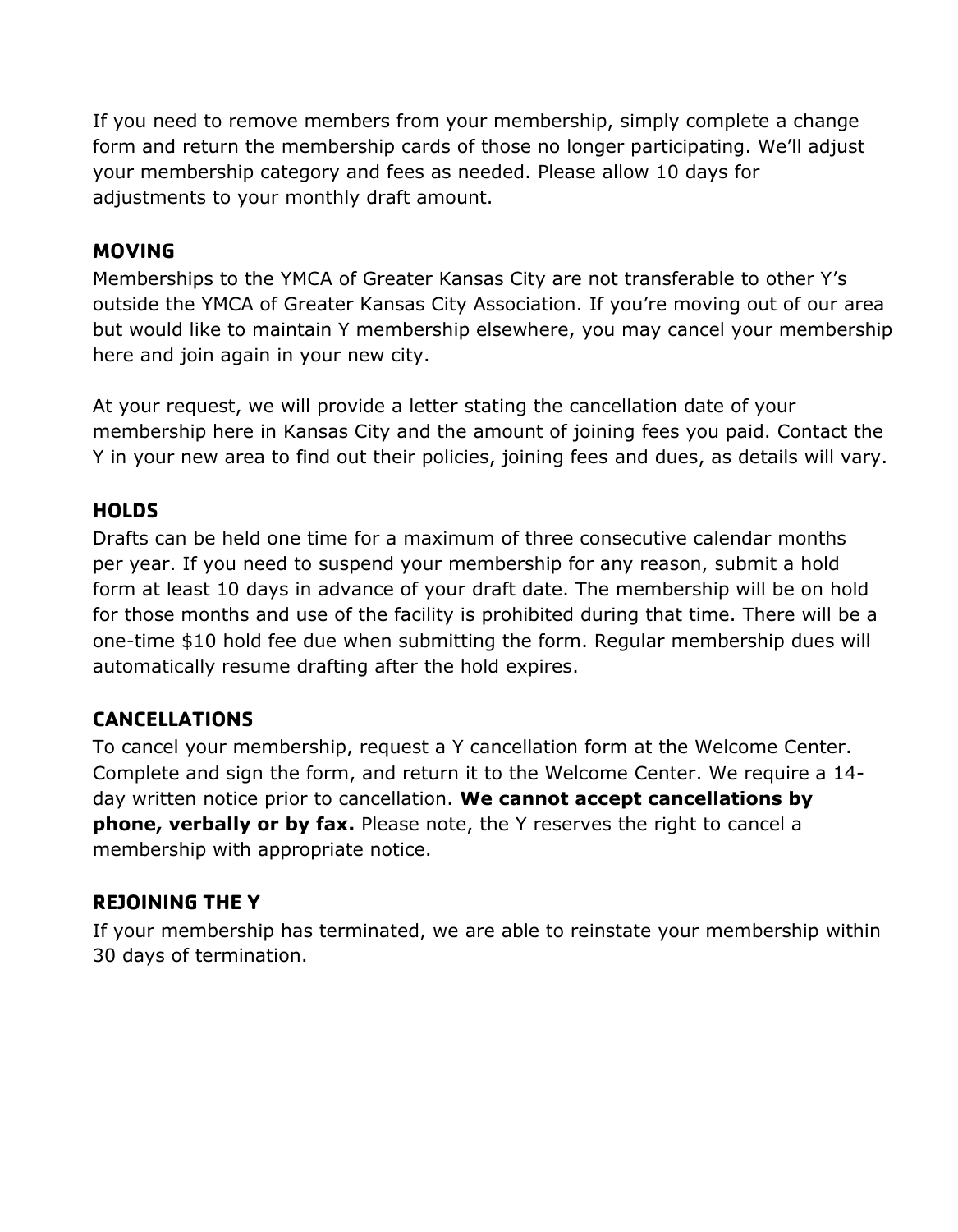If you need to remove members from your membership, simply complete a change form and return the membership cards of those no longer participating. We'll adjust your membership category and fees as needed. Please allow 10 days for adjustments to your monthly draft amount.

### **MOVING**

Memberships to the YMCA of Greater Kansas City are not transferable to other Y's outside the YMCA of Greater Kansas City Association. If you're moving out of our area but would like to maintain Y membership elsewhere, you may cancel your membership here and join again in your new city.

At your request, we will provide a letter stating the cancellation date of your membership here in Kansas City and the amount of joining fees you paid. Contact the Y in your new area to find out their policies, joining fees and dues, as details will vary.

### **HOLDS**

Drafts can be held one time for a maximum of three consecutive calendar months per year. If you need to suspend your membership for any reason, submit a hold form at least 10 days in advance of your draft date. The membership will be on hold for those months and use of the facility is prohibited during that time. There will be a one-time \$10 hold fee due when submitting the form. Regular membership dues will automatically resume drafting after the hold expires.

### **CANCELLATIONS**

To cancel your membership, request a Y cancellation form at the Welcome Center. Complete and sign the form, and return it to the Welcome Center. We require a 14 day written notice prior to cancellation. **We cannot accept cancellations by phone, verbally or by fax.** Please note, the Y reserves the right to cancel a membership with appropriate notice.

#### **REJOINING THE Y**

If your membership has terminated, we are able to reinstate your membership within 30 days of termination.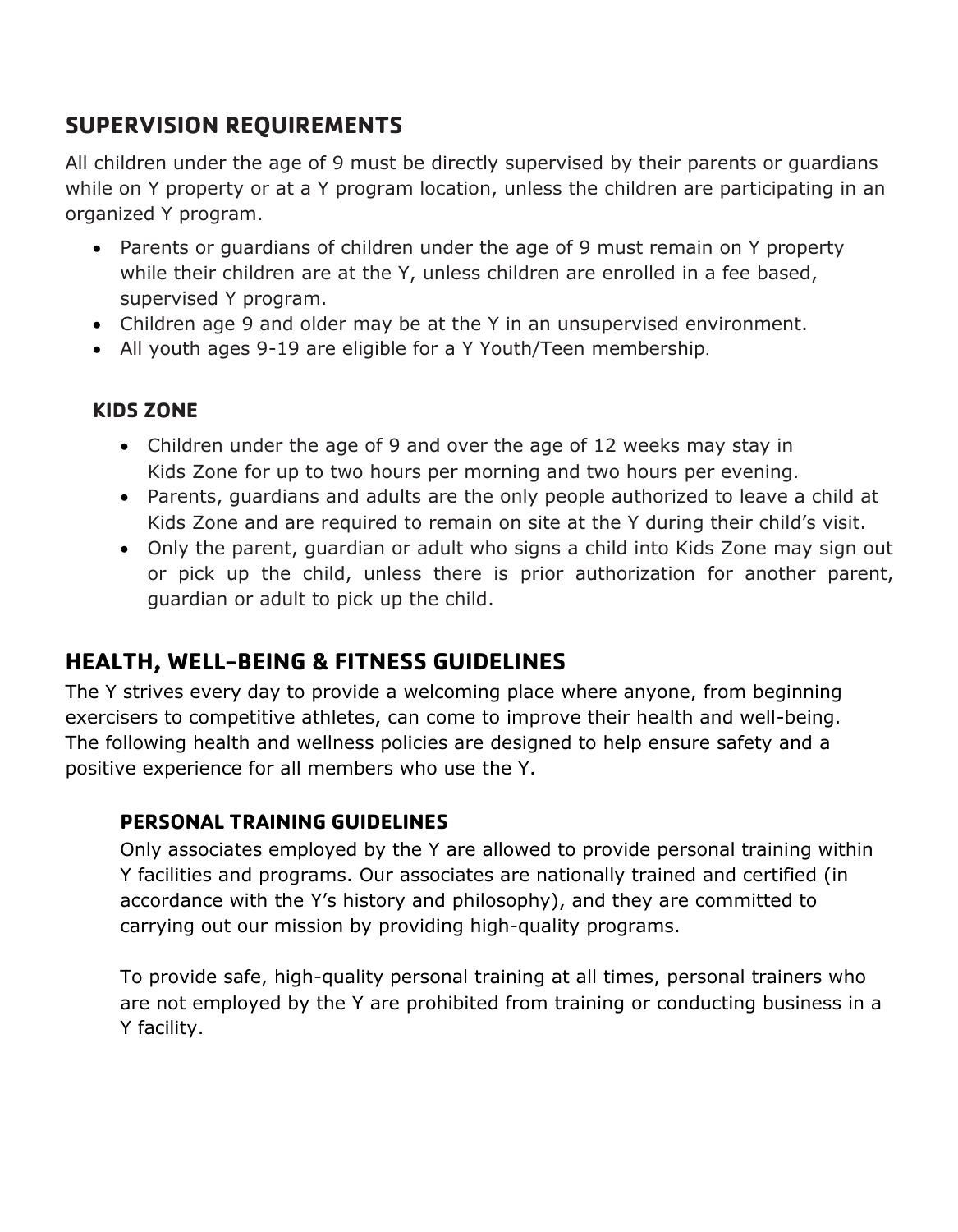### **SUPERVISION REQUIREMENTS**

All children under the age of 9 must be directly supervised by their parents or guardians while on Y property or at a Y program location, unless the children are participating in an organized Y program.

- Parents or guardians of children under the age of 9 must remain on Y property while their children are at the Y, unless children are enrolled in a fee based, supervised Y program.
- Children age 9 and older may be at the Y in an unsupervised environment.
- All youth ages 9-19 are eligible for a Y Youth/Teen membership.

### **KIDS ZONE**

- Children under the age of 9 and over the age of 12 weeks may stay in Kids Zone for up to two hours per morning and two hours per evening.
- Parents, guardians and adults are the only people authorized to leave a child at Kids Zone and are required to remain on site at the Y during their child's visit.
- Only the parent, guardian or adult who signs a child into Kids Zone may sign out or pick up the child, unless there is prior authorization for another parent, guardian or adult to pick up the child.

### **HEALTH, WELL-BEING & FITNESS GUIDELINES**

The Y strives every day to provide a welcoming place where anyone, from beginning exercisers to competitive athletes, can come to improve their health and well-being. The following health and wellness policies are designed to help ensure safety and a positive experience for all members who use the Y.

### **PERSONAL TRAINING GUIDELINES**

Only associates employed by the Y are allowed to provide personal training within Y facilities and programs. Our associates are nationally trained and certified (in accordance with the Y's history and philosophy), and they are committed to carrying out our mission by providing high-quality programs.

To provide safe, high-quality personal training at all times, personal trainers who are not employed by the Y are prohibited from training or conducting business in a Y facility.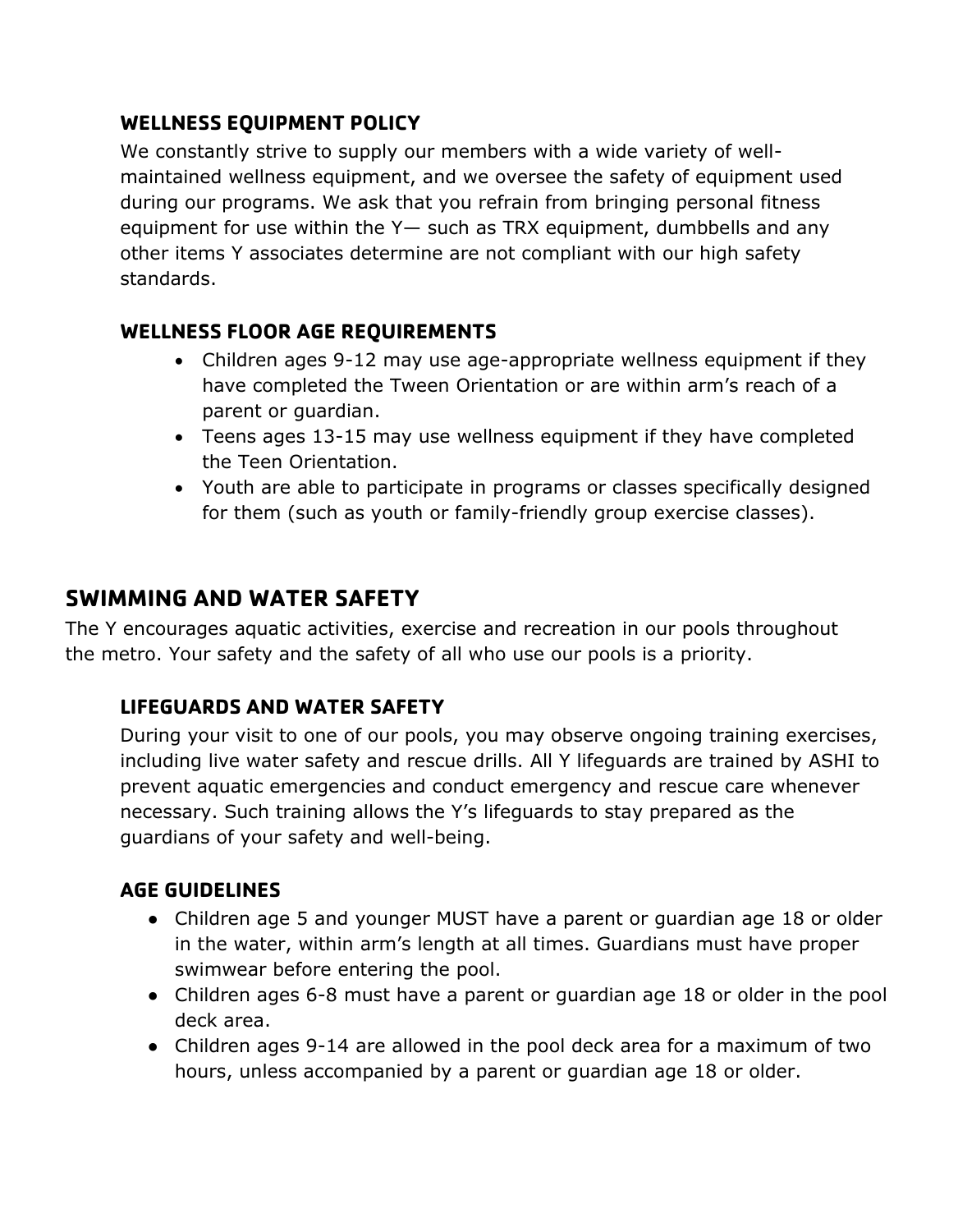### **WELLNESS EQUIPMENT POLICY**

We constantly strive to supply our members with a wide variety of wellmaintained wellness equipment, and we oversee the safety of equipment used during our programs. We ask that you refrain from bringing personal fitness equipment for use within the Y— such as TRX equipment, dumbbells and any other items Y associates determine are not compliant with our high safety standards.

### **WELLNESS FLOOR AGE REQUIREMENTS**

- Children ages 9-12 may use age-appropriate wellness equipment if they have completed the Tween Orientation or are within arm's reach of a parent or guardian.
- Teens ages 13-15 may use wellness equipment if they have completed the Teen Orientation.
- Youth are able to participate in programs or classes specifically designed for them (such as youth or family-friendly group exercise classes).

### **SWIMMING AND WATER SAFETY**

The Y encourages aquatic activities, exercise and recreation in our pools throughout the metro. Your safety and the safety of all who use our pools is a priority.

### **LIFEGUARDS AND WATER SAFETY**

During your visit to one of our pools, you may observe ongoing training exercises, including live water safety and rescue drills. All Y lifeguards are trained by ASHI to prevent aquatic emergencies and conduct emergency and rescue care whenever necessary. Such training allows the Y's lifeguards to stay prepared as the guardians of your safety and well-being.

### **AGE GUIDELINES**

- Children age 5 and younger MUST have a parent or guardian age 18 or older in the water, within arm's length at all times. Guardians must have proper swimwear before entering the pool.
- Children ages 6-8 must have a parent or guardian age 18 or older in the pool deck area.
- Children ages 9-14 are allowed in the pool deck area for a maximum of two hours, unless accompanied by a parent or guardian age 18 or older.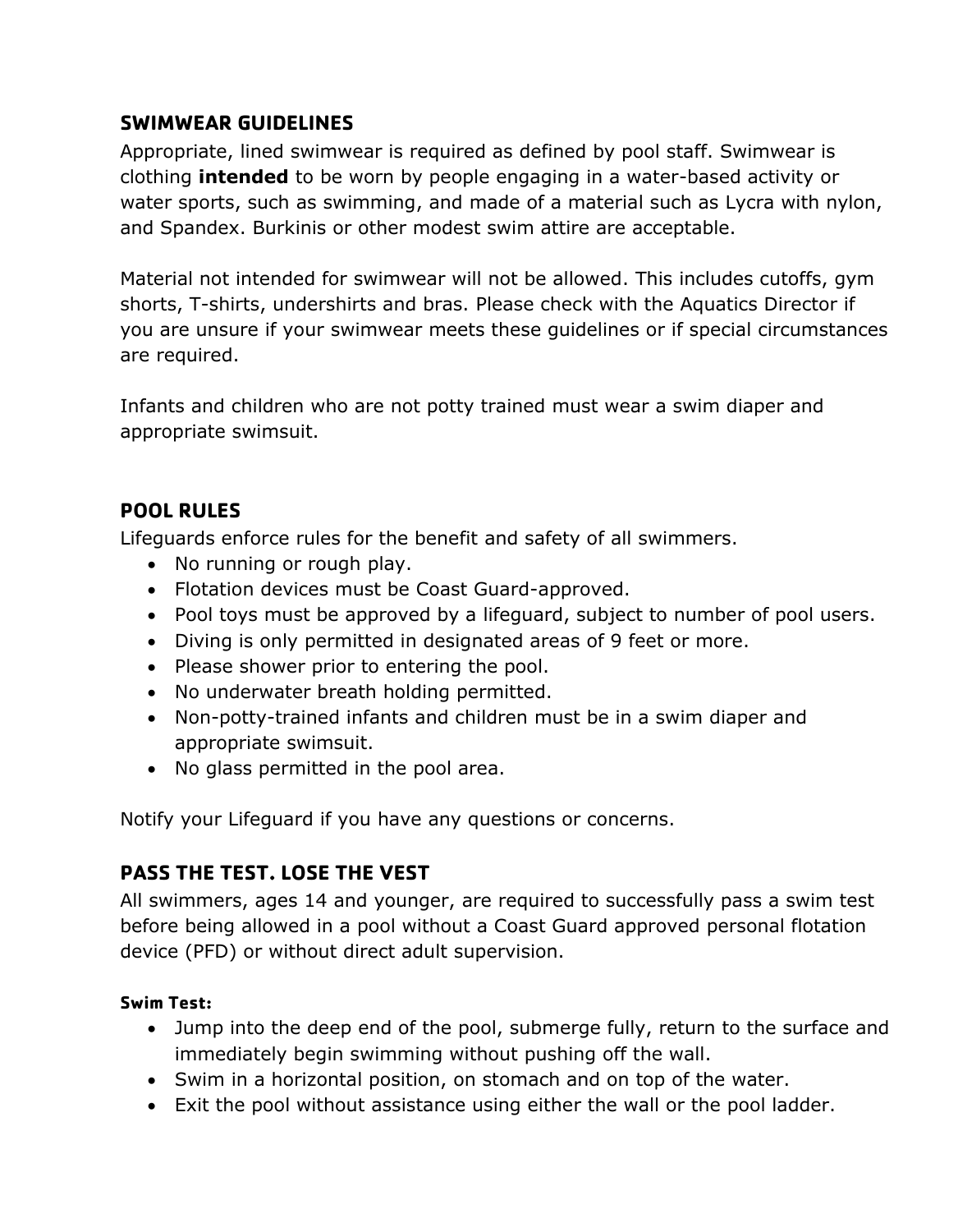### **SWIMWEAR GUIDELINES**

Appropriate, lined swimwear is required as defined by pool staff. Swimwear is clothing **intended** to be worn by people engaging in a water-based activity or water sports, such as swimming, and made of a material such as Lycra with nylon, and Spandex. Burkinis or other modest swim attire are acceptable.

Material not intended for swimwear will not be allowed. This includes cutoffs, gym shorts, T-shirts, undershirts and bras. Please check with the Aquatics Director if you are unsure if your swimwear meets these guidelines or if special circumstances are required.

Infants and children who are not potty trained must wear a swim diaper and appropriate swimsuit.

### **POOL RULES**

Lifeguards enforce rules for the benefit and safety of all swimmers.

- No running or rough play.
- Flotation devices must be Coast Guard-approved.
- Pool toys must be approved by a lifeguard, subject to number of pool users.
- Diving is only permitted in designated areas of 9 feet or more.
- Please shower prior to entering the pool.
- No underwater breath holding permitted.
- Non-potty-trained infants and children must be in a swim diaper and appropriate swimsuit.
- No glass permitted in the pool area.

Notify your Lifeguard if you have any questions or concerns.

### **PASS THE TEST. LOSE THE VEST**

All swimmers, ages 14 and younger, are required to successfully pass a swim test before being allowed in a pool without a Coast Guard approved personal flotation device (PFD) or without direct adult supervision.

#### **Swim Test:**

- Jump into the deep end of the pool, submerge fully, return to the surface and immediately begin swimming without pushing off the wall.
- Swim in a horizontal position, on stomach and on top of the water.
- Exit the pool without assistance using either the wall or the pool ladder.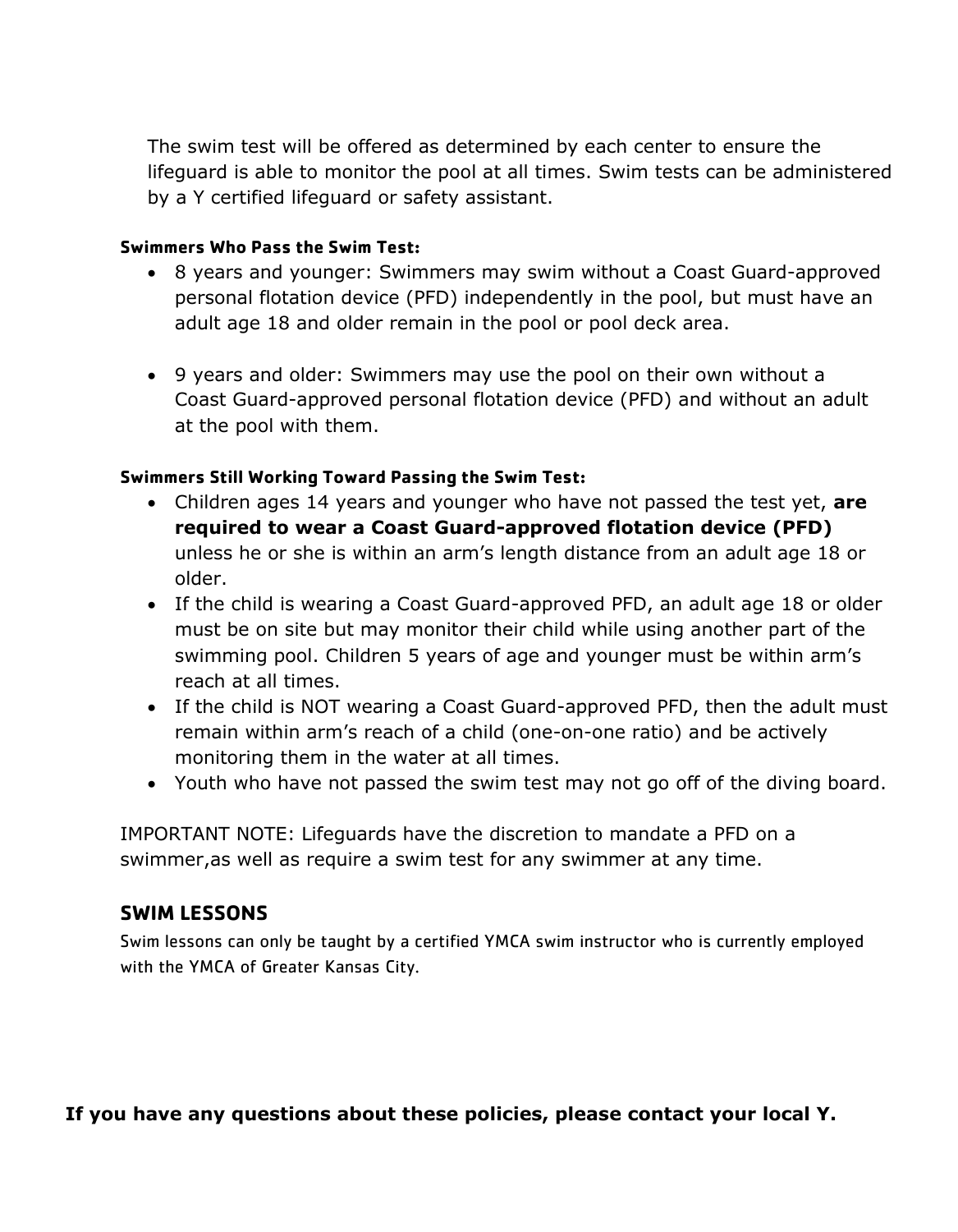The swim test will be offered as determined by each center to ensure the lifeguard is able to monitor the pool at all times. Swim tests can be administered by a Y certified lifeguard or safety assistant.

#### **Swimmers Who Pass the Swim Test:**

- 8 years and younger: Swimmers may swim without a Coast Guard-approved personal flotation device (PFD) independently in the pool, but must have an adult age 18 and older remain in the pool or pool deck area.
- 9 years and older: Swimmers may use the pool on their own without a Coast Guard-approved personal flotation device (PFD) and without an adult at the pool with them.

#### **Swimmers Still Working Toward Passing the Swim Test:**

- Children ages 14 years and younger who have not passed the test yet, **are required to wear a Coast Guard-approved flotation device (PFD)** unless he or she is within an arm's length distance from an adult age 18 or older.
- If the child is wearing a Coast Guard-approved PFD, an adult age 18 or older must be on site but may monitor their child while using another part of the swimming pool. Children 5 years of age and younger must be within arm's reach at all times.
- If the child is NOT wearing a Coast Guard-approved PFD, then the adult must remain within arm's reach of a child (one-on-one ratio) and be actively monitoring them in the water at all times.
- Youth who have not passed the swim test may not go off of the diving board.

IMPORTANT NOTE: Lifeguards have the discretion to mandate a PFD on a swimmer,as well as require a swim test for any swimmer at any time.

#### **SWIM LESSONS**

Swim lessons can only be taught by a certified YMCA swim instructor who is currently employed with the YMCA of Greater Kansas City.

**If you have any questions about these policies, please contact your local Y.**